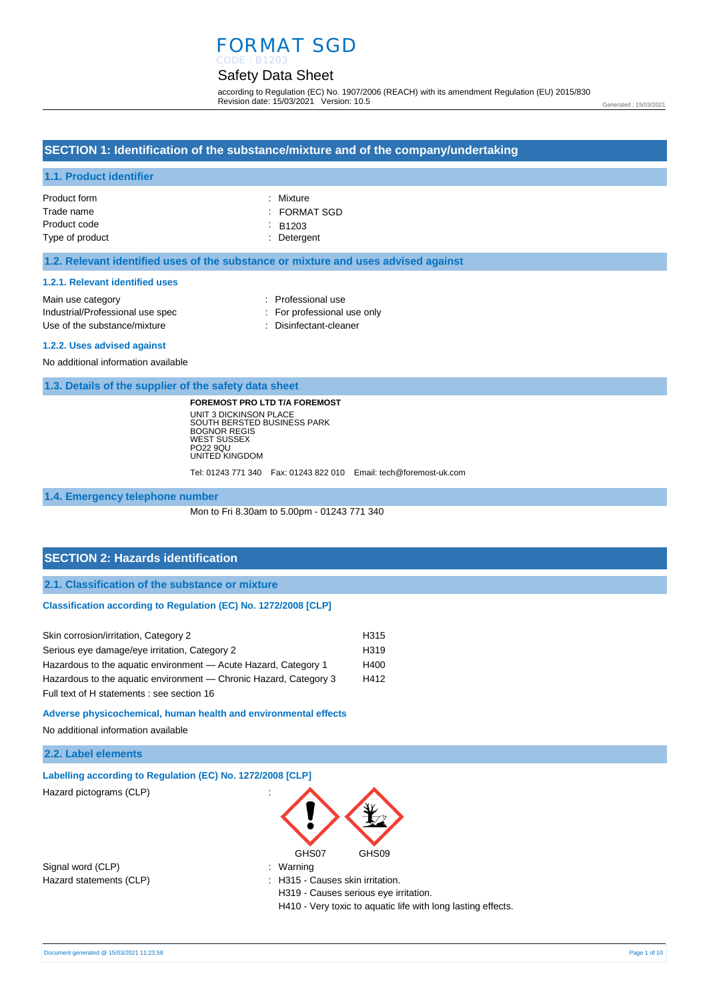#### Safety Data Sheet CODE : B1203

according to Regulation (EC) No. 1907/2006 (REACH) with its amendment Regulation (EU) 2015/830 Revision date: 15/03/2021 Version: 10.5

Generated : 15/03/2021

# **SECTION 1: Identification of the substance/mixture and of the company/undertaking**

### **1.1. Product identifier**

| Product form    | : Mixture          |
|-----------------|--------------------|
| Trade name      | : FORMAT SGD       |
| Product code    | $\therefore$ B1203 |
| Type of product | : Detergent        |

### **1.2. Relevant identified uses of the substance or mixture and uses advised against**

#### **1.2.1. Relevant identified uses**

| Main use category                                                                                                                                                                                                                                                                                           | : Professional use          |
|-------------------------------------------------------------------------------------------------------------------------------------------------------------------------------------------------------------------------------------------------------------------------------------------------------------|-----------------------------|
| Industrial/Professional use spec                                                                                                                                                                                                                                                                            | : For professional use only |
| Use of the substance/mixture                                                                                                                                                                                                                                                                                | : Disinfectant-cleaner      |
| $\mathbf{A}$ , $\mathbf{A}$ , $\mathbf{A}$ , $\mathbf{A}$ , $\mathbf{A}$ , $\mathbf{A}$ , $\mathbf{A}$ , $\mathbf{A}$ , $\mathbf{A}$ , $\mathbf{A}$ , $\mathbf{A}$ , $\mathbf{A}$ , $\mathbf{A}$ , $\mathbf{A}$ , $\mathbf{A}$ , $\mathbf{A}$ , $\mathbf{A}$ , $\mathbf{A}$ , $\mathbf{A}$ , $\mathbf{A}$ , |                             |

#### **1.2.2. Uses advised against**

No additional information available

**1.3. Details of the supplier of the safety data sheet**

**FOREMOST PRO LTD T/A FOREMOST** UNIT 3 DICKINSON PLACE SOUTH BERSTED BUSINESS PARK BOGNOR REGIS WEST SUSSEX PO22 9QU UNITED KINGDOM

Tel: 01243 771 340 Fax: 01243 822 010 Email: tech@foremost-uk.com

#### **1.4. Emergency telephone number**

Mon to Fri 8.30am to 5.00pm - 01243 771 340

### **SECTION 2: Hazards identification**

**2.1. Classification of the substance or mixture**

#### **Classification according to Regulation (EC) No. 1272/2008 [CLP]**

| Skin corrosion/irritation, Category 2                             | H315             |
|-------------------------------------------------------------------|------------------|
| Serious eye damage/eye irritation, Category 2                     | H <sub>319</sub> |
| Hazardous to the aguatic environment - Acute Hazard, Category 1   | H400             |
| Hazardous to the aquatic environment — Chronic Hazard, Category 3 | H412             |
| Full text of H statements : see section 16                        |                  |

**Adverse physicochemical, human health and environmental effects** 

No additional information available

### **2.2. Label elements**

| Labelling according to Regulation (EC) No. 1272/2008 [CLP] |                                                              |
|------------------------------------------------------------|--------------------------------------------------------------|
| Hazard pictograms (CLP)                                    | $\cdot$<br>GHS07<br>GHS09                                    |
| Signal word (CLP)                                          | : Warning                                                    |
| Hazard statements (CLP)                                    | : H315 - Causes skin irritation.                             |
|                                                            | H319 - Causes serious eye irritation.                        |
|                                                            | H410 - Very toxic to aquatic life with long lasting effects. |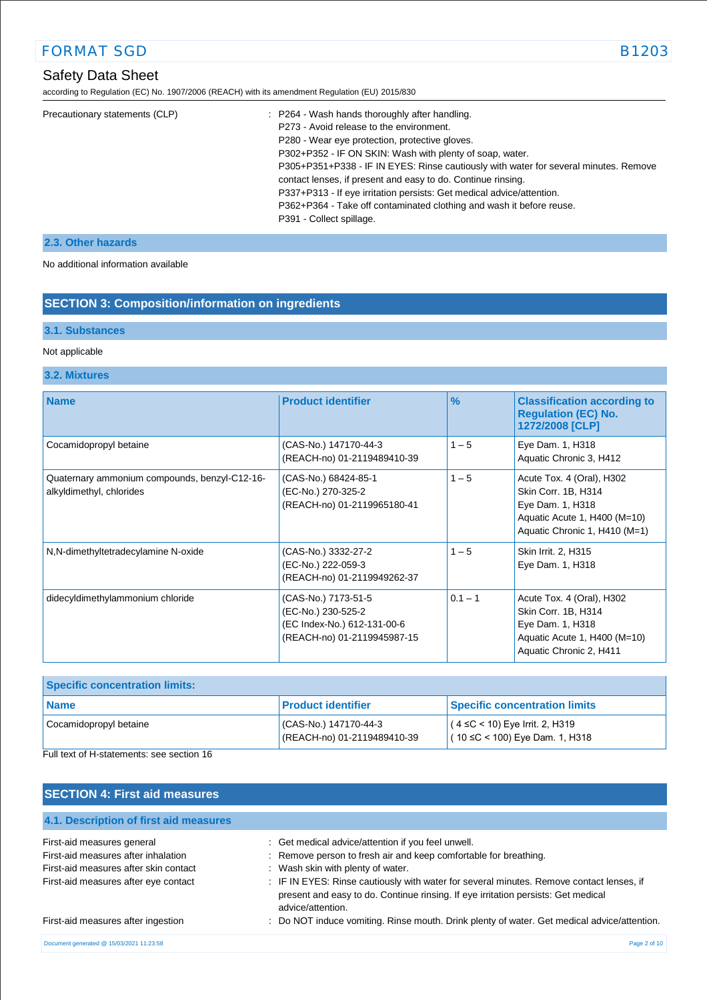# Safety Data Sheet

according to Regulation (EC) No. 1907/2006 (REACH) with its amendment Regulation (EU) 2015/830

| : P264 - Wash hands thoroughly after handling.                                       |
|--------------------------------------------------------------------------------------|
| P273 - Avoid release to the environment.                                             |
| P280 - Wear eye protection, protective gloves.                                       |
| P302+P352 - IF ON SKIN: Wash with plenty of soap, water.                             |
| P305+P351+P338 - IF IN EYES: Rinse cautiously with water for several minutes. Remove |
| contact lenses, if present and easy to do. Continue rinsing.                         |
| P337+P313 - If eye irritation persists: Get medical advice/attention.                |
| P362+P364 - Take off contaminated clothing and wash it before reuse.                 |
| P391 - Collect spillage.                                                             |
|                                                                                      |

## **2.3. Other hazards**

No additional information available

# **SECTION 3: Composition/information on ingredients**

### **3.1. Substances**

### Not applicable

### **3.2. Mixtures**

| <b>Name</b>                                                               | <b>Product identifier</b>                                                                               | $\frac{9}{6}$ | <b>Classification according to</b><br><b>Regulation (EC) No.</b><br>1272/2008 [CLP]                                                   |
|---------------------------------------------------------------------------|---------------------------------------------------------------------------------------------------------|---------------|---------------------------------------------------------------------------------------------------------------------------------------|
| Cocamidopropyl betaine                                                    | (CAS-No.) 147170-44-3<br>(REACH-no) 01-2119489410-39                                                    | $1 - 5$       | Eye Dam. 1, H318<br>Aquatic Chronic 3, H412                                                                                           |
| Quaternary ammonium compounds, benzyl-C12-16-<br>alkyldimethyl, chlorides | (CAS-No.) 68424-85-1<br>(EC-No.) 270-325-2<br>(REACH-no) 01-2119965180-41                               | $1 - 5$       | Acute Tox. 4 (Oral), H302<br>Skin Corr. 1B, H314<br>Eye Dam. 1, H318<br>Aquatic Acute 1, H400 (M=10)<br>Aquatic Chronic 1, H410 (M=1) |
| N,N-dimethyltetradecylamine N-oxide                                       | (CAS-No.) 3332-27-2<br>(EC-No.) 222-059-3<br>(REACH-no) 01-2119949262-37                                | $1 - 5$       | Skin Irrit. 2, H315<br>Eye Dam. 1, H318                                                                                               |
| didecyldimethylammonium chloride                                          | (CAS-No.) 7173-51-5<br>(EC-No.) 230-525-2<br>(EC Index-No.) 612-131-00-6<br>(REACH-no) 01-2119945987-15 | $0.1 - 1$     | Acute Tox. 4 (Oral), H302<br>Skin Corr. 1B, H314<br>Eye Dam. 1, H318<br>Aquatic Acute 1, H400 (M=10)<br>Aquatic Chronic 2, H411       |

| <b>Specific concentration limits:</b> |                                                     |                                                                              |
|---------------------------------------|-----------------------------------------------------|------------------------------------------------------------------------------|
| <b>Name</b>                           | <b>Product identifier</b>                           | <b>Specific concentration limits</b>                                         |
| Cocamidopropyl betaine                | CAS-No.) 147170-44-3<br>(REACH-no) 01-2119489410-39 | $(4 \leq C < 10)$ Eye Irrit. 2, H319<br>$(10 \leq C < 100)$ Eye Dam. 1, H318 |

Full text of H-statements: see section 16

# **SECTION 4: First aid measures**

| 4.1. Description of first aid measures   |                                                                                                                                                                                                    |
|------------------------------------------|----------------------------------------------------------------------------------------------------------------------------------------------------------------------------------------------------|
| First-aid measures general               | : Get medical advice/attention if you feel unwell.                                                                                                                                                 |
| First-aid measures after inhalation      | : Remove person to fresh air and keep comfortable for breathing.                                                                                                                                   |
| First-aid measures after skin contact    | : Wash skin with plenty of water.                                                                                                                                                                  |
| First-aid measures after eye contact     | : IF IN EYES: Rinse cautiously with water for several minutes. Remove contact lenses, if<br>present and easy to do. Continue rinsing. If eye irritation persists: Get medical<br>advice/attention. |
| First-aid measures after ingestion       | : Do NOT induce vomiting. Rinse mouth. Drink plenty of water. Get medical advice/attention.                                                                                                        |
| Document generated @ 15/03/2021 11:23:58 | Page 2 of 10                                                                                                                                                                                       |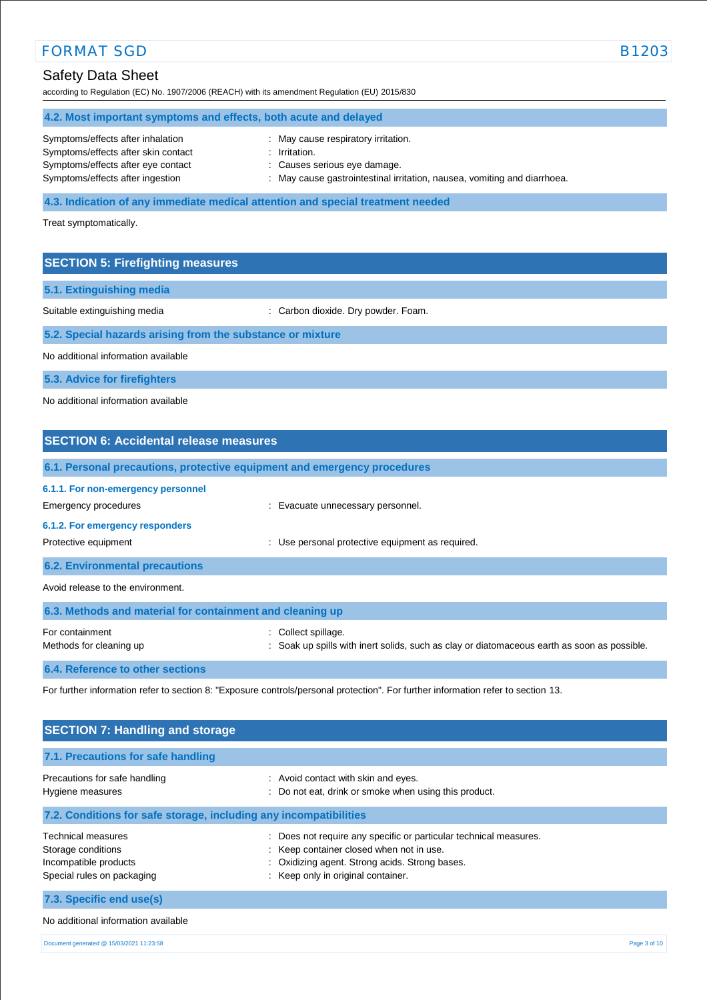# Safety Data Sheet

according to Regulation (EC) No. 1907/2006 (REACH) with its amendment Regulation (EU) 2015/830

## **4.2. Most important symptoms and effects, both acute and delayed** Symptoms/effects after inhalation : May cause respiratory irritation. Symptoms/effects after skin contact : Irritation. Symptoms/effects after eye contact : Causes serious eye damage. Symptoms/effects after ingestion : May cause gastrointestinal irritation, nausea, vomiting and diarrhoea.

**4.3. Indication of any immediate medical attention and special treatment needed**

Treat symptomatically.

### **SECTION 5: Firefighting measures**

**5.1. Extinguishing media**

Suitable extinguishing media : Carbon dioxide. Dry powder. Foam.

**5.2. Special hazards arising from the substance or mixture**

No additional information available

**5.3. Advice for firefighters**

No additional information available

# **SECTION 6: Accidental release measures 6.1. Personal precautions, protective equipment and emergency procedures 6.1.1. For non-emergency personnel**  Emergency procedures **in the example of the example of the Evacuate unnecessary personnel. 6.1.2. For emergency responders**  Protective equipment **interval and the COV** versional protective equipment as required. **6.2. Environmental precautions** Avoid release to the environment. **6.3. Methods and material for containment and cleaning up** For containment  $\qquad \qquad$ : Collect spillage. Methods for cleaning up **interpret in the spills** with inert solids, such as clay or diatomaceous earth as soon as possible.

**6.4. Reference to other sections**

For further information refer to section 8: "Exposure controls/personal protection". For further information refer to section 13.

| <b>SECTION 7: Handling and storage</b>                                                          |                                                                                                                                                                                                   |              |
|-------------------------------------------------------------------------------------------------|---------------------------------------------------------------------------------------------------------------------------------------------------------------------------------------------------|--------------|
| 7.1. Precautions for safe handling                                                              |                                                                                                                                                                                                   |              |
| Precautions for safe handling<br>Hygiene measures                                               | : Avoid contact with skin and eyes.<br>Do not eat, drink or smoke when using this product.<br>÷                                                                                                   |              |
| 7.2. Conditions for safe storage, including any incompatibilities                               |                                                                                                                                                                                                   |              |
| Technical measures<br>Storage conditions<br>Incompatible products<br>Special rules on packaging | Does not require any specific or particular technical measures.<br>: Keep container closed when not in use.<br>Oxidizing agent. Strong acids. Strong bases.<br>: Keep only in original container. |              |
| 7.3. Specific end use(s)                                                                        |                                                                                                                                                                                                   |              |
| No additional information available                                                             |                                                                                                                                                                                                   |              |
| Document generated @ 15/03/2021 11:23:58                                                        |                                                                                                                                                                                                   | Page 3 of 10 |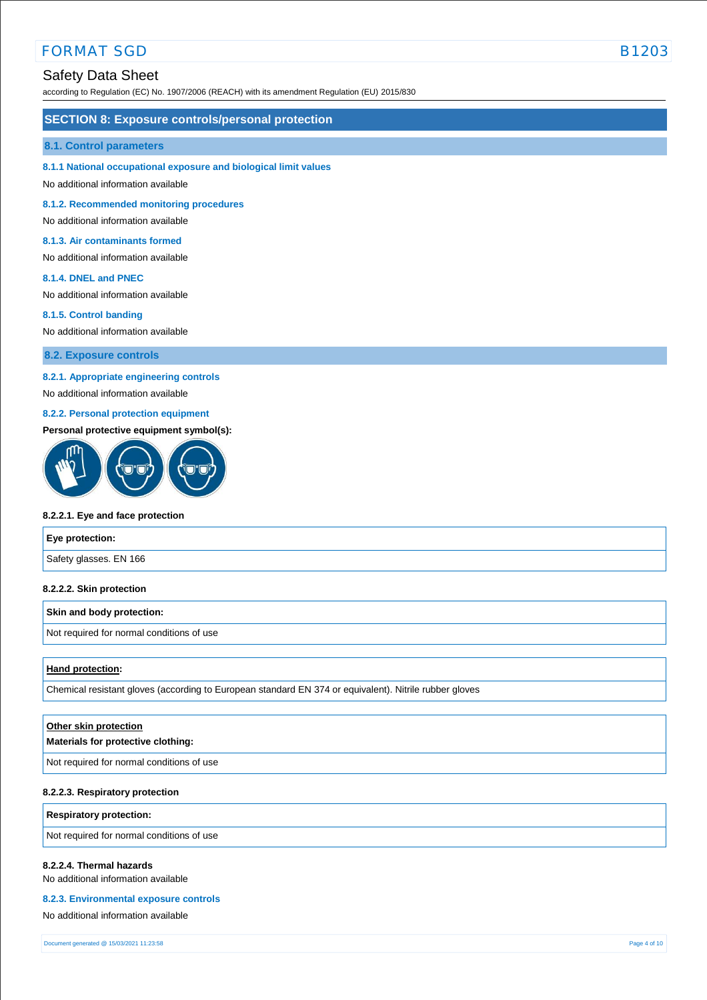# Safety Data Sheet

according to Regulation (EC) No. 1907/2006 (REACH) with its amendment Regulation (EU) 2015/830

#### **SECTION 8: Exposure controls/personal protection**

#### **8.1. Control parameters**

#### **8.1.1 National occupational exposure and biological limit values**

No additional information available

**8.1.2. Recommended monitoring procedures** 

### No additional information available

#### **8.1.3. Air contaminants formed**

No additional information available

#### **8.1.4. DNEL and PNEC**

No additional information available

#### **8.1.5. Control banding**

No additional information available

**8.2. Exposure controls**

### **8.2.1. Appropriate engineering controls**

No additional information available

### **8.2.2. Personal protection equipment**

#### **Personal protective equipment symbol(s):**



#### **8.2.2.1. Eye and face protection**

| Eye protection:        |  |
|------------------------|--|
| Safety glasses. EN 166 |  |

#### **8.2.2.2. Skin protection**

#### **Skin and body protection:**

Not required for normal conditions of use

#### **Hand protection:**

Chemical resistant gloves (according to European standard EN 374 or equivalent). Nitrile rubber gloves

| Other skin protection<br>Materials for protective clothing: |
|-------------------------------------------------------------|
| Not required for normal conditions of use                   |
|                                                             |

#### **8.2.2.3. Respiratory protection**

**Respiratory protection:**

Not required for normal conditions of use

#### **8.2.2.4. Thermal hazards**

No additional information available

#### **8.2.3. Environmental exposure controls**

No additional information available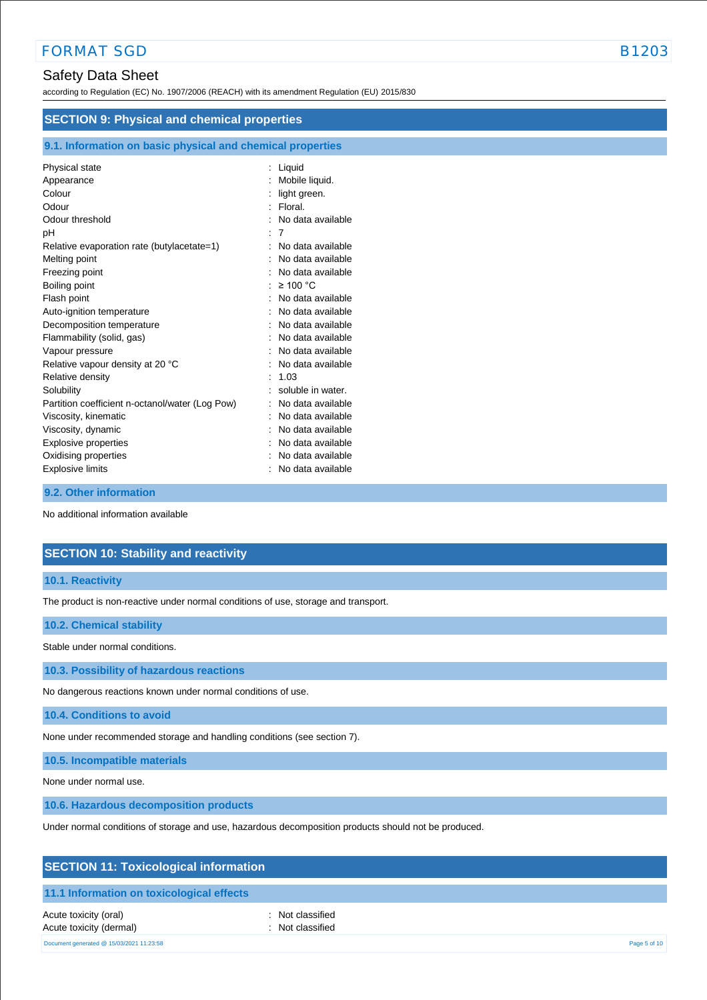# Safety Data Sheet

according to Regulation (EC) No. 1907/2006 (REACH) with its amendment Regulation (EU) 2015/830

| <b>SECTION 9: Physical and chemical properties</b>         |                   |  |
|------------------------------------------------------------|-------------------|--|
| 9.1. Information on basic physical and chemical properties |                   |  |
| Physical state                                             | $:$ Liquid        |  |
| Appearance                                                 | Mobile liquid.    |  |
| Colour                                                     | light green.      |  |
| Odour                                                      | Floral.           |  |
| Odour threshold                                            | No data available |  |
| рH                                                         | 7                 |  |
| Relative evaporation rate (butylacetate=1)                 | No data available |  |
| Melting point                                              | No data available |  |
| Freezing point                                             | No data available |  |
| Boiling point                                              | $\geq 100$ °C     |  |
| Flash point                                                | No data available |  |
| Auto-ignition temperature                                  | No data available |  |
| Decomposition temperature                                  | No data available |  |
| Flammability (solid, gas)                                  | No data available |  |
| Vapour pressure                                            | No data available |  |
| Relative vapour density at 20 °C                           | No data available |  |
| Relative density                                           | 1.03              |  |
| Solubility                                                 | soluble in water. |  |
| Partition coefficient n-octanol/water (Log Pow)            | No data available |  |
| Viscosity, kinematic                                       | No data available |  |
| Viscosity, dynamic                                         | No data available |  |
| Explosive properties                                       | No data available |  |
| Oxidising properties                                       | No data available |  |
| Explosive limits                                           | No data available |  |

#### **9.2. Other information**

No additional information available

# **SECTION 10: Stability and reactivity**

**10.1. Reactivity**

The product is non-reactive under normal conditions of use, storage and transport.

**10.2. Chemical stability**

Stable under normal conditions.

**10.3. Possibility of hazardous reactions**

No dangerous reactions known under normal conditions of use.

**10.4. Conditions to avoid**

None under recommended storage and handling conditions (see section 7).

**10.5. Incompatible materials**

None under normal use.

**10.6. Hazardous decomposition products**

Under normal conditions of storage and use, hazardous decomposition products should not be produced.

| <b>SECTION 11: Toxicological information</b> |  |
|----------------------------------------------|--|
|----------------------------------------------|--|

### **11.1 Information on toxicological effects**

Acute toxicity (oral) **interval** to the control of the control of the control of the control of the control of the control of the control of the control of the control of the control of the control of the control of the co Acute toxicity (dermal) **Example 2** Constant Constant Constant Constant Constant Constant Constant Constant Constant Constant Constant Constant Constant Constant Constant Constant Constant Constant Constant Constant Consta

Document generated @ 15/03/2021 11:23:58 Page 5 of 10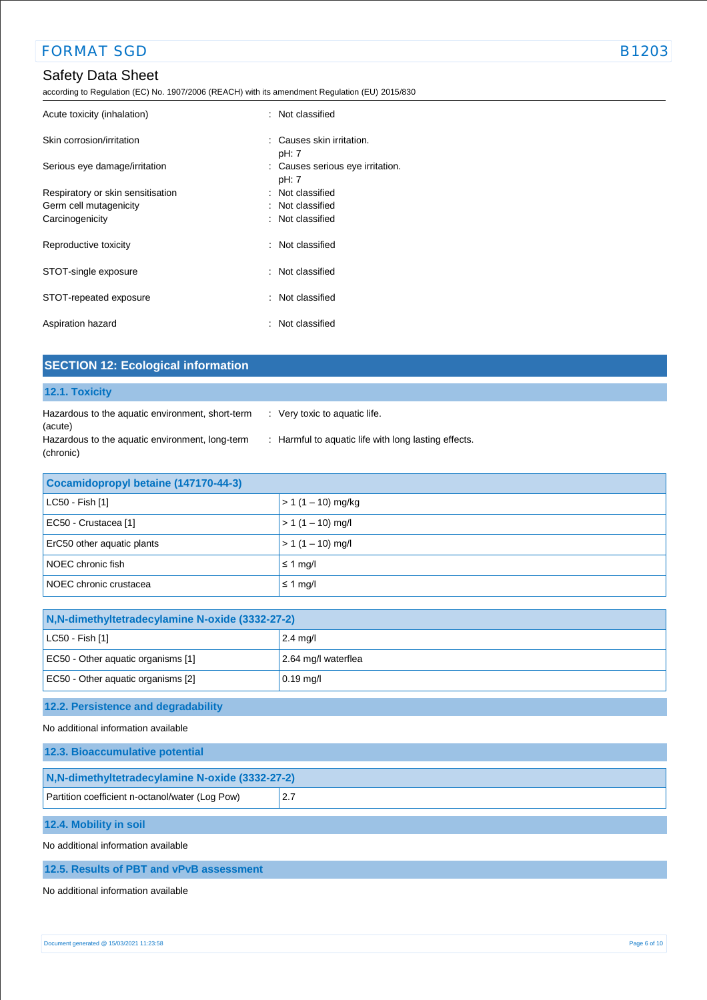according to Regulation (EC) No. 1907/2006 (REACH) with its amendment Regulation (EU) 2015/830

| Acute toxicity (inhalation)       | : Not classified                              |
|-----------------------------------|-----------------------------------------------|
| Skin corrosion/irritation         | $\therefore$ Causes skin irritation.<br>pH: 7 |
| Serious eye damage/irritation     | : Causes serious eye irritation.<br>pH: 7     |
| Respiratory or skin sensitisation | : Not classified                              |
| Germ cell mutagenicity            | : Not classified                              |
| Carcinogenicity                   | : Not classified                              |
| Reproductive toxicity             | : Not classified                              |
| STOT-single exposure              | : Not classified                              |
| STOT-repeated exposure            | : Not classified                              |
| Aspiration hazard                 | : Not classified                              |

| <b>SECTION 12: Ecological information</b>                                                                                   |                                                                                       |  |
|-----------------------------------------------------------------------------------------------------------------------------|---------------------------------------------------------------------------------------|--|
| 12.1. Toxicity                                                                                                              |                                                                                       |  |
| Hazardous to the aquatic environment, short-term<br>(acute)<br>Hazardous to the aquatic environment, long-term<br>(chronic) | : Very toxic to aquatic life.<br>: Harmful to aquatic life with long lasting effects. |  |
| Cocamidopropyl betaine (147170-44-3)                                                                                        |                                                                                       |  |
| LC50 - Fish [1]                                                                                                             | $> 1 (1 - 10)$ mg/kg                                                                  |  |
| EC50 - Crustacea [1]                                                                                                        | $> 1(1 - 10)$ mg/l                                                                    |  |
| ErC50 other aquatic plants                                                                                                  | $> 1(1 - 10)$ mg/l                                                                    |  |
| NOEC chronic fish                                                                                                           | $\leq$ 1 mg/l                                                                         |  |
| NOEC chronic crustacea                                                                                                      | $\leq$ 1 mg/l                                                                         |  |
|                                                                                                                             |                                                                                       |  |
| N, N-dimethyltetradecylamine N-oxide (3332-27-2)                                                                            |                                                                                       |  |
| LC50 - Fish [1]                                                                                                             | $2.4$ mg/                                                                             |  |
| EC50 - Other aquatic organisms [1]                                                                                          | 2.64 mg/l waterflea                                                                   |  |

# **12.2. Persistence and degradability**

EC50 - Other aquatic organisms [2] 0.19 mg/l

No additional information available

| 12.3. Bioaccumulative potential                  |      |  |
|--------------------------------------------------|------|--|
| N, N-dimethyltetradecylamine N-oxide (3332-27-2) |      |  |
| Partition coefficient n-octanol/water (Log Pow)  | 12.7 |  |

**12.4. Mobility in soil**

No additional information available

#### **12.5. Results of PBT and vPvB assessment**

No additional information available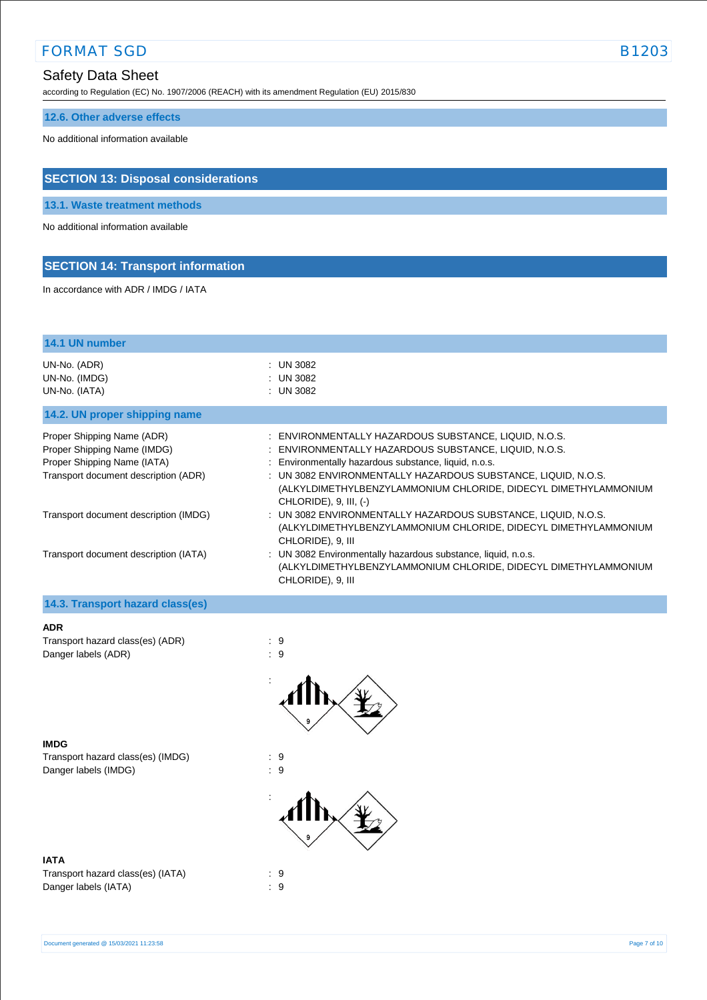according to Regulation (EC) No. 1907/2006 (REACH) with its amendment Regulation (EU) 2015/830

# **12.6. Other adverse effects**

No additional information available

# **SECTION 13: Disposal considerations**

**13.1. Waste treatment methods**

No additional information available

# **SECTION 14: Transport information**

In accordance with ADR / IMDG / IATA

| 14.1 UN number                                                                                                                                                            |                                                                                                                                                                                                                                                                                                                                                                                                                                                                                                |
|---------------------------------------------------------------------------------------------------------------------------------------------------------------------------|------------------------------------------------------------------------------------------------------------------------------------------------------------------------------------------------------------------------------------------------------------------------------------------------------------------------------------------------------------------------------------------------------------------------------------------------------------------------------------------------|
| UN-No. (ADR)<br>UN-No. (IMDG)<br>UN-No. (IATA)                                                                                                                            | : UN 3082<br>: UN 3082<br>: UN 3082                                                                                                                                                                                                                                                                                                                                                                                                                                                            |
| 14.2. UN proper shipping name                                                                                                                                             |                                                                                                                                                                                                                                                                                                                                                                                                                                                                                                |
| Proper Shipping Name (ADR)<br>Proper Shipping Name (IMDG)<br>Proper Shipping Name (IATA)<br>Transport document description (ADR)<br>Transport document description (IMDG) | : ENVIRONMENTALLY HAZARDOUS SUBSTANCE, LIQUID, N.O.S.<br>: ENVIRONMENTALLY HAZARDOUS SUBSTANCE, LIQUID, N.O.S.<br>: Environmentally hazardous substance, liquid, n.o.s.<br>: UN 3082 ENVIRONMENTALLY HAZARDOUS SUBSTANCE, LIQUID, N.O.S.<br>(ALKYLDIMETHYLBENZYLAMMONIUM CHLORIDE, DIDECYL DIMETHYLAMMONIUM<br>CHLORIDE), 9, III, (-)<br>: UN 3082 ENVIRONMENTALLY HAZARDOUS SUBSTANCE, LIQUID, N.O.S.<br>(ALKYLDIMETHYLBENZYLAMMONIUM CHLORIDE, DIDECYL DIMETHYLAMMONIUM<br>CHLORIDE), 9, III |
| Transport document description (IATA)                                                                                                                                     | : UN 3082 Environmentally hazardous substance, liquid, n.o.s.<br>(ALKYLDIMETHYLBENZYLAMMONIUM CHLORIDE, DIDECYL DIMETHYLAMMONIUM<br>CHLORIDE), 9, III                                                                                                                                                                                                                                                                                                                                          |
| 14.3. Transport hazard class(es)                                                                                                                                          |                                                                                                                                                                                                                                                                                                                                                                                                                                                                                                |
| ADD                                                                                                                                                                       |                                                                                                                                                                                                                                                                                                                                                                                                                                                                                                |

| <b>ADR</b>                       |     |
|----------------------------------|-----|
| Transport hazard class(es) (ADR) | : 9 |
| Danger labels (ADR)              |     |



**IMDG** Transport hazard class(es) (IMDG) : 9 Danger labels (IMDG)  $\qquad \qquad$  : 9



### **IATA**

Transport hazard class(es) (IATA) : 9 Danger labels (IATA) : 9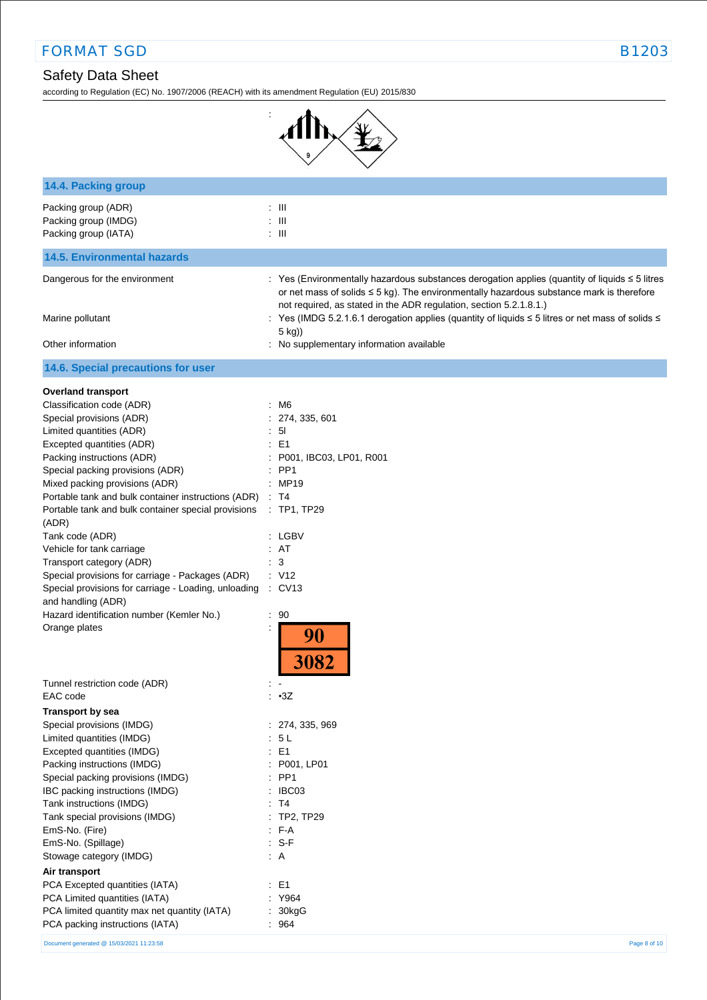# Safety Data Sheet

according to Regulation (EC) No. 1907/2006 (REACH) with its amendment Regulation (EU) 2015/830

:



| 14.4. Packing group                                                        |                                                                                                                                                                                                 |
|----------------------------------------------------------------------------|-------------------------------------------------------------------------------------------------------------------------------------------------------------------------------------------------|
| Packing group (ADR)                                                        | $: \mathbb{H}$                                                                                                                                                                                  |
| Packing group (IMDG)                                                       | $: \mathbb{H}$                                                                                                                                                                                  |
| Packing group (IATA)                                                       | $: \mathbb{H}$                                                                                                                                                                                  |
| <b>14.5. Environmental hazards</b>                                         |                                                                                                                                                                                                 |
| Dangerous for the environment                                              | : Yes (Environmentally hazardous substances derogation applies (quantity of liquids ≤ 5 litres<br>or net mass of solids $\leq$ 5 kg). The environmentally hazardous substance mark is therefore |
| Marine pollutant                                                           | not required, as stated in the ADR regulation, section 5.2.1.8.1.)<br>: Yes (IMDG 5.2.1.6.1 derogation applies (quantity of liquids $\leq$ 5 litres or net mass of solids $\leq$<br>5 kg))      |
| Other information                                                          | : No supplementary information available                                                                                                                                                        |
| 14.6. Special precautions for user                                         |                                                                                                                                                                                                 |
| <b>Overland transport</b>                                                  |                                                                                                                                                                                                 |
| Classification code (ADR)                                                  | : M6                                                                                                                                                                                            |
| Special provisions (ADR)                                                   | 274, 335, 601                                                                                                                                                                                   |
| Limited quantities (ADR)                                                   | 5 <sub>l</sub>                                                                                                                                                                                  |
| Excepted quantities (ADR)                                                  | : E1                                                                                                                                                                                            |
| Packing instructions (ADR)                                                 | P001, IBC03, LP01, R001                                                                                                                                                                         |
| Special packing provisions (ADR)                                           | $:$ PP1                                                                                                                                                                                         |
| Mixed packing provisions (ADR)                                             | : MP19                                                                                                                                                                                          |
| Portable tank and bulk container instructions (ADR) : T4                   |                                                                                                                                                                                                 |
| Portable tank and bulk container special provisions<br>(ADR)               | $:$ TP1, TP29                                                                                                                                                                                   |
| Tank code (ADR)                                                            | : LGBV                                                                                                                                                                                          |
| Vehicle for tank carriage                                                  | : AT                                                                                                                                                                                            |
| Transport category (ADR)                                                   | : 3                                                                                                                                                                                             |
| Special provisions for carriage - Packages (ADR)                           | : V12                                                                                                                                                                                           |
| Special provisions for carriage - Loading, unloading<br>and handling (ADR) | $\therefore$ CV13                                                                                                                                                                               |
| Hazard identification number (Kemler No.)                                  | : 90                                                                                                                                                                                            |
| Orange plates                                                              | 90<br>3082                                                                                                                                                                                      |
| Tunnel restriction code (ADR)                                              |                                                                                                                                                                                                 |
| EAC code                                                                   | : •3Z                                                                                                                                                                                           |
| <b>Transport by sea</b>                                                    |                                                                                                                                                                                                 |
| Special provisions (IMDG)                                                  | : 274, 335, 969                                                                                                                                                                                 |
| Limited quantities (IMDG)                                                  | 5L                                                                                                                                                                                              |
| Excepted quantities (IMDG)                                                 | E <sub>1</sub><br>÷.                                                                                                                                                                            |
| Packing instructions (IMDG)                                                | P001, LP01                                                                                                                                                                                      |
| Special packing provisions (IMDG)                                          | $:$ PP1                                                                                                                                                                                         |
| IBC packing instructions (IMDG)                                            | IBC03                                                                                                                                                                                           |
| Tank instructions (IMDG)                                                   | : T4                                                                                                                                                                                            |
| Tank special provisions (IMDG)                                             | : TP2, TP29                                                                                                                                                                                     |
| EmS-No. (Fire)                                                             | $F-A$                                                                                                                                                                                           |
| EmS-No. (Spillage)                                                         | $: S-F$                                                                                                                                                                                         |
| Stowage category (IMDG)                                                    | $\therefore$ A                                                                                                                                                                                  |
| Air transport                                                              |                                                                                                                                                                                                 |
| PCA Excepted quantities (IATA)                                             | $\therefore$ E1                                                                                                                                                                                 |
| PCA Limited quantities (IATA)                                              | : Y964                                                                                                                                                                                          |
| PCA limited quantity max net quantity (IATA)                               | : 30kgG                                                                                                                                                                                         |
| PCA packing instructions (IATA)                                            | : 964                                                                                                                                                                                           |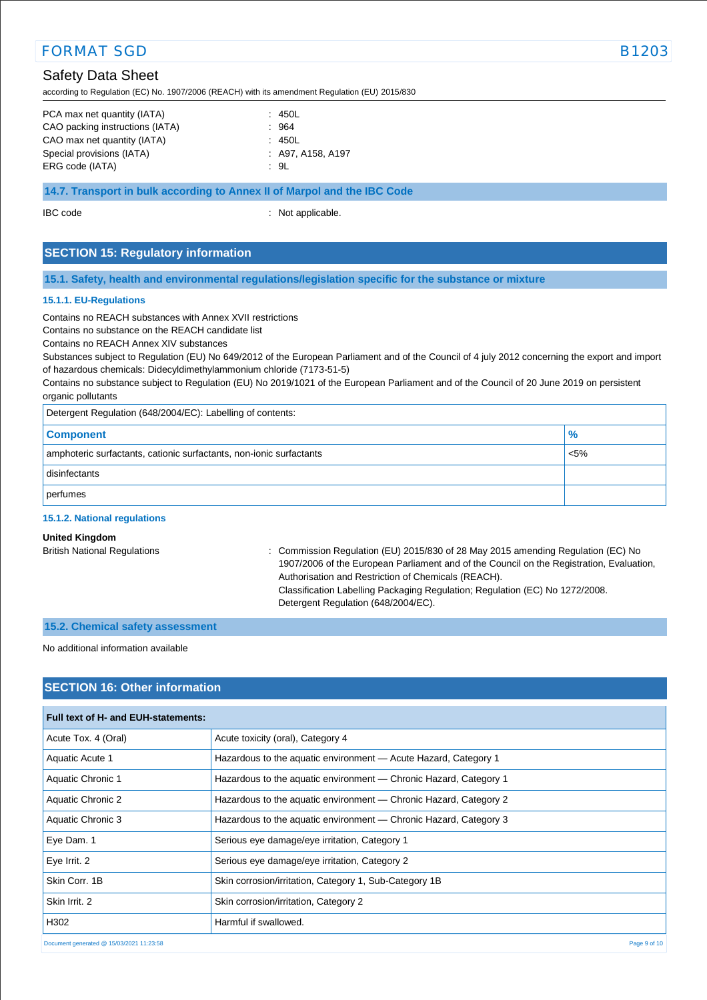# Safety Data Sheet

according to Regulation (EC) No. 1907/2006 (REACH) with its amendment Regulation (EU) 2015/830

| PCA max net quantity (IATA)     | : 450L              |
|---------------------------------|---------------------|
| CAO packing instructions (IATA) | : 964               |
| CAO max net quantity (IATA)     | : 450L              |
| Special provisions (IATA)       | $:$ A97, A158, A197 |
| ERG code (IATA)                 | : 9L                |

### **14.7. Transport in bulk according to Annex II of Marpol and the IBC Code**

IBC code : Not applicable.

# **SECTION 15: Regulatory information**

#### **15.1. Safety, health and environmental regulations/legislation specific for the substance or mixture**

#### **15.1.1. EU-Regulations**

Contains no REACH substances with Annex XVII restrictions

Contains no substance on the REACH candidate list

Contains no REACH Annex XIV substances

Substances subject to Regulation (EU) No 649/2012 of the European Parliament and of the Council of 4 july 2012 concerning the export and import of hazardous chemicals: Didecyldimethylammonium chloride (7173-51-5)

Contains no substance subject to Regulation (EU) No 2019/1021 of the European Parliament and of the Council of 20 June 2019 on persistent organic pollutants

Detergent Regulation (648/2004/EC): Labelling of contents:

| <b>Component</b>                                                    | $\frac{9}{6}$ |
|---------------------------------------------------------------------|---------------|
| amphoteric surfactants, cationic surfactants, non-ionic surfactants | $\sim$ 5%     |
| disinfectants                                                       |               |
| perfumes                                                            |               |

#### **15.1.2. National regulations**

### **United Kingdom**

British National Regulations : Commission Regulation (EU) 2015/830 of 28 May 2015 amending Regulation (EC) No 1907/2006 of the European Parliament and of the Council on the Registration, Evaluation, Authorisation and Restriction of Chemicals (REACH). Classification Labelling Packaging Regulation; Regulation (EC) No 1272/2008. Detergent Regulation (648/2004/EC).

#### **15.2. Chemical safety assessment**

No additional information available

# **SECTION 16: Other information**

| Full text of H- and EUH-statements:      |                                                                   |
|------------------------------------------|-------------------------------------------------------------------|
| Acute Tox. 4 (Oral)                      | Acute toxicity (oral), Category 4                                 |
| Aquatic Acute 1                          | Hazardous to the aquatic environment - Acute Hazard, Category 1   |
| Aquatic Chronic 1                        | Hazardous to the aquatic environment — Chronic Hazard, Category 1 |
| Aquatic Chronic 2                        | Hazardous to the aquatic environment — Chronic Hazard, Category 2 |
| Aquatic Chronic 3                        | Hazardous to the aquatic environment — Chronic Hazard, Category 3 |
| Eye Dam. 1                               | Serious eye damage/eye irritation, Category 1                     |
| Eye Irrit. 2                             | Serious eye damage/eye irritation, Category 2                     |
| Skin Corr. 1B                            | Skin corrosion/irritation, Category 1, Sub-Category 1B            |
| Skin Irrit, 2                            | Skin corrosion/irritation, Category 2                             |
| H302                                     | Harmful if swallowed.                                             |
| Document generated @ 15/03/2021 11:23:58 | Page 9 of 10                                                      |